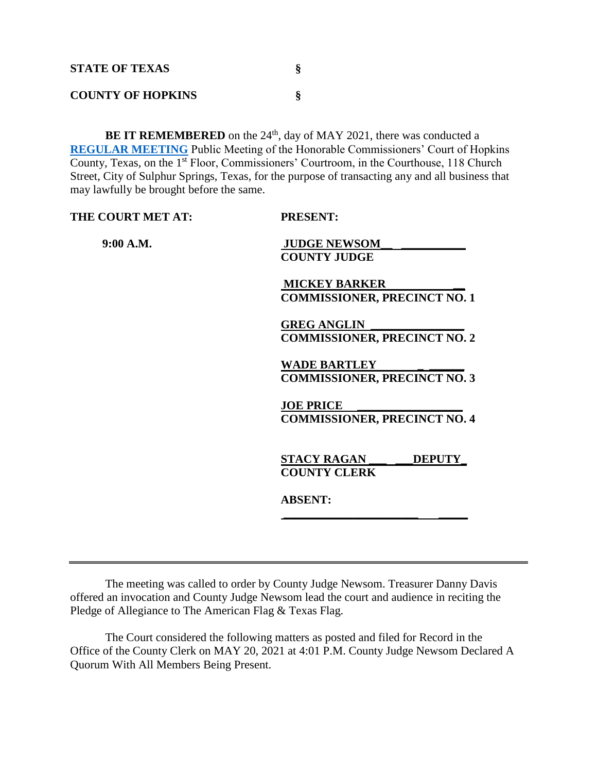| <b>STATE OF TEXAS</b>    |  |
|--------------------------|--|
| <b>COUNTY OF HOPKINS</b> |  |

BE IT REMEMBERED on the 24<sup>th</sup>, day of MAY 2021, there was conducted a **[REGULAR](Links%202021-05-24-Regular/Agenda_1.pdf) MEETING** Public Meeting of the Honorable Commissioners' Court of Hopkins County, Texas, on the 1<sup>st</sup> Floor, Commissioners' Courtroom, in the Courthouse, 118 Church Street, City of Sulphur Springs, Texas, for the purpose of transacting any and all business that may lawfully be brought before the same.

| THE COURT MET AT: | <b>PRESENT:</b>                     |
|-------------------|-------------------------------------|
| 9:00 A.M.         | <b>JUDGE NEWSOM</b>                 |
|                   | <b>COUNTY JUDGE</b>                 |
|                   | <b>MICKEY BARKER</b>                |
|                   | <b>COMMISSIONER, PRECINCT NO. 1</b> |
|                   | <b>GREG ANGLIN</b>                  |
|                   | <b>COMMISSIONER, PRECINCT NO. 2</b> |
|                   | <b>WADE BARTLEY</b>                 |
|                   | <b>COMMISSIONER, PRECINCT NO. 3</b> |
|                   | <b>JOE PRICE</b>                    |
|                   | <b>COMMISSIONER, PRECINCT NO. 4</b> |
|                   |                                     |
|                   | <b>DEPUTY</b><br><b>STACY RAGAN</b> |
|                   | <b>COUNTY CLERK</b>                 |
|                   | <b>ABSENT:</b>                      |
|                   |                                     |
|                   |                                     |

The meeting was called to order by County Judge Newsom. Treasurer Danny Davis offered an invocation and County Judge Newsom lead the court and audience in reciting the Pledge of Allegiance to The American Flag & Texas Flag.

The Court considered the following matters as posted and filed for Record in the Office of the County Clerk on MAY 20, 2021 at 4:01 P.M. County Judge Newsom Declared A Quorum With All Members Being Present.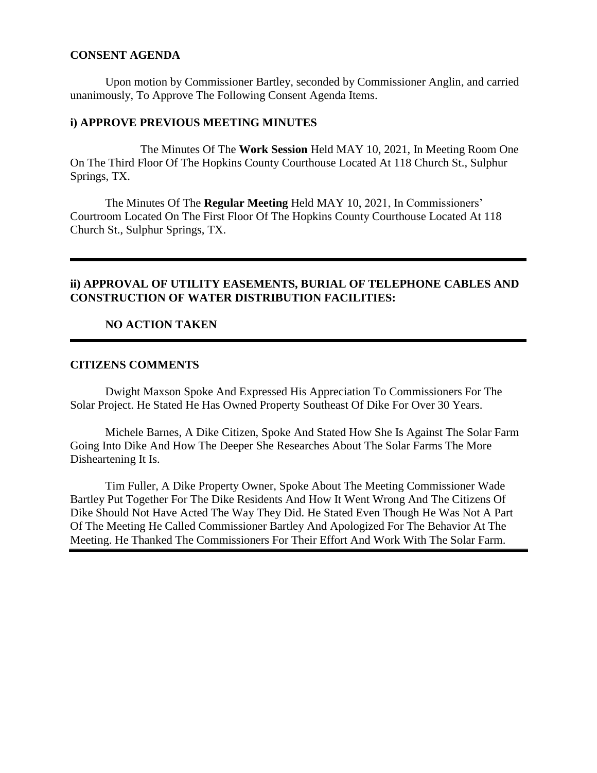#### **CONSENT AGENDA**

Upon motion by Commissioner Bartley, seconded by Commissioner Anglin, and carried unanimously, To Approve The Following Consent Agenda Items.

#### **i) APPROVE PREVIOUS MEETING MINUTES**

The Minutes Of The **Work Session** Held MAY 10, 2021, In Meeting Room One On The Third Floor Of The Hopkins County Courthouse Located At 118 Church St., Sulphur Springs, TX.

The Minutes Of The **Regular Meeting** Held MAY 10, 2021, In Commissioners' Courtroom Located On The First Floor Of The Hopkins County Courthouse Located At 118 Church St., Sulphur Springs, TX.

## **ii) APPROVAL OF UTILITY EASEMENTS, BURIAL OF TELEPHONE CABLES AND CONSTRUCTION OF WATER DISTRIBUTION FACILITIES:**

## **NO ACTION TAKEN**

## **CITIZENS COMMENTS**

Dwight Maxson Spoke And Expressed His Appreciation To Commissioners For The Solar Project. He Stated He Has Owned Property Southeast Of Dike For Over 30 Years.

Michele Barnes, A Dike Citizen, Spoke And Stated How She Is Against The Solar Farm Going Into Dike And How The Deeper She Researches About The Solar Farms The More Disheartening It Is.

Tim Fuller, A Dike Property Owner, Spoke About The Meeting Commissioner Wade Bartley Put Together For The Dike Residents And How It Went Wrong And The Citizens Of Dike Should Not Have Acted The Way They Did. He Stated Even Though He Was Not A Part Of The Meeting He Called Commissioner Bartley And Apologized For The Behavior At The Meeting. He Thanked The Commissioners For Their Effort And Work With The Solar Farm.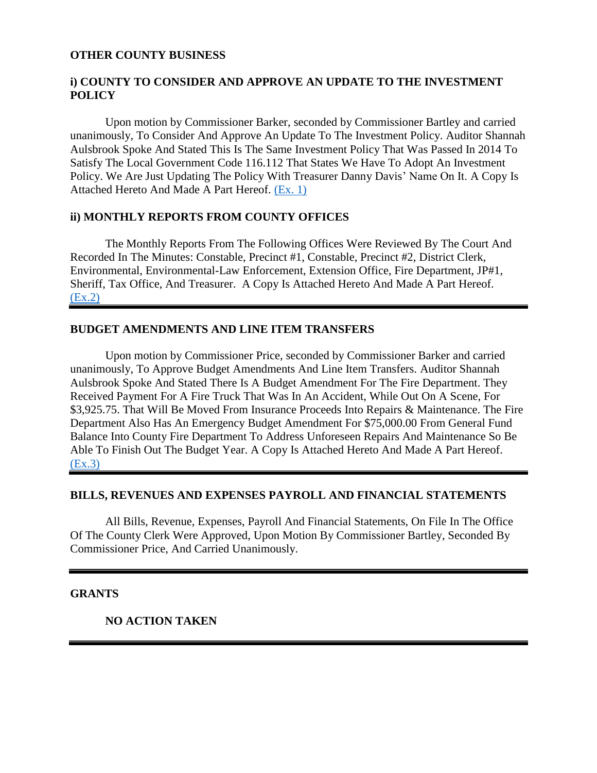#### **OTHER COUNTY BUSINESS**

## **i) COUNTY TO CONSIDER AND APPROVE AN UPDATE TO THE INVESTMENT POLICY**

Upon motion by Commissioner Barker, seconded by Commissioner Bartley and carried unanimously, To Consider And Approve An Update To The Investment Policy. Auditor Shannah Aulsbrook Spoke And Stated This Is The Same Investment Policy That Was Passed In 2014 To Satisfy The Local Government Code 116.112 That States We Have To Adopt An Investment Policy. We Are Just Updating The Policy With Treasurer Danny Davis' Name On It. A Copy Is Attached Hereto And Made A Part Hereof. [\(Ex. 1\)](Links%202021-05-24-Regular/01%20Investment%20Policy_1.pdf)

#### **ii) MONTHLY REPORTS FROM COUNTY OFFICES**

The Monthly Reports From The Following Offices Were Reviewed By The Court And Recorded In The Minutes: Constable, Precinct #1, Constable, Precinct #2, District Clerk, Environmental, Environmental-Law Enforcement, Extension Office, Fire Department, JP#1, Sheriff, Tax Office, And Treasurer. A Copy Is Attached Hereto And Made A Part Hereof. [\(Ex.2\)](Links%202021-05-24-Regular/02%20Monthly%20Reports_1.pdf)

## **BUDGET AMENDMENTS AND LINE ITEM TRANSFERS**

Upon motion by Commissioner Price, seconded by Commissioner Barker and carried unanimously, To Approve Budget Amendments And Line Item Transfers. Auditor Shannah Aulsbrook Spoke And Stated There Is A Budget Amendment For The Fire Department. They Received Payment For A Fire Truck That Was In An Accident, While Out On A Scene, For \$3,925.75. That Will Be Moved From Insurance Proceeds Into Repairs & Maintenance. The Fire Department Also Has An Emergency Budget Amendment For \$75,000.00 From General Fund Balance Into County Fire Department To Address Unforeseen Repairs And Maintenance So Be Able To Finish Out The Budget Year. A Copy Is Attached Hereto And Made A Part Hereof. [\(Ex.3\)](Links%202021-05-24-Regular/03%20Budget%20Amendments_1.pdf)

#### **BILLS, REVENUES AND EXPENSES PAYROLL AND FINANCIAL STATEMENTS**

All Bills, Revenue, Expenses, Payroll And Financial Statements, On File In The Office Of The County Clerk Were Approved, Upon Motion By Commissioner Bartley, Seconded By Commissioner Price, And Carried Unanimously.

#### **GRANTS**

#### **NO ACTION TAKEN**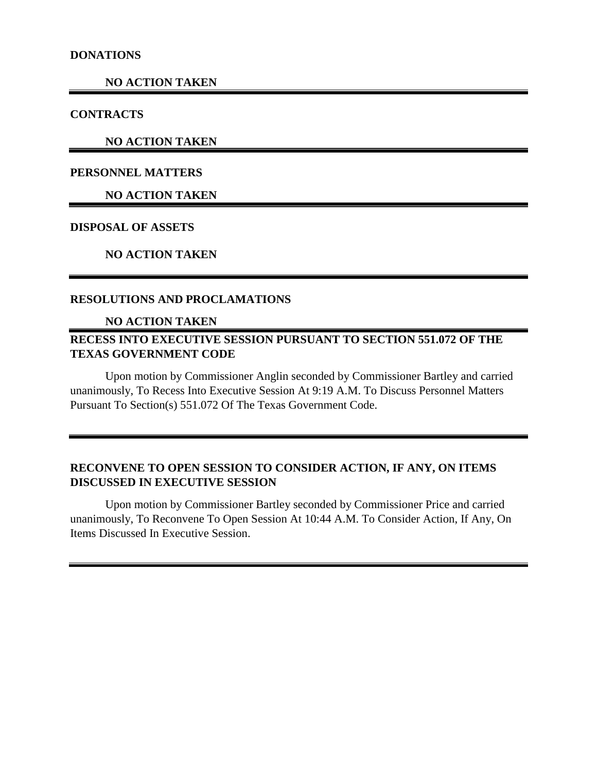#### **NO ACTION TAKEN**

#### **CONTRACTS**

**NO ACTION TAKEN**

## **PERSONNEL MATTERS**

# **NO ACTION TAKEN**

## **DISPOSAL OF ASSETS**

## **NO ACTION TAKEN**

#### **RESOLUTIONS AND PROCLAMATIONS**

## **NO ACTION TAKEN**

# **RECESS INTO EXECUTIVE SESSION PURSUANT TO SECTION 551.072 OF THE TEXAS GOVERNMENT CODE**

Upon motion by Commissioner Anglin seconded by Commissioner Bartley and carried unanimously, To Recess Into Executive Session At 9:19 A.M. To Discuss Personnel Matters Pursuant To Section(s) 551.072 Of The Texas Government Code.

# **RECONVENE TO OPEN SESSION TO CONSIDER ACTION, IF ANY, ON ITEMS DISCUSSED IN EXECUTIVE SESSION**

Upon motion by Commissioner Bartley seconded by Commissioner Price and carried unanimously, To Reconvene To Open Session At 10:44 A.M. To Consider Action, If Any, On Items Discussed In Executive Session.